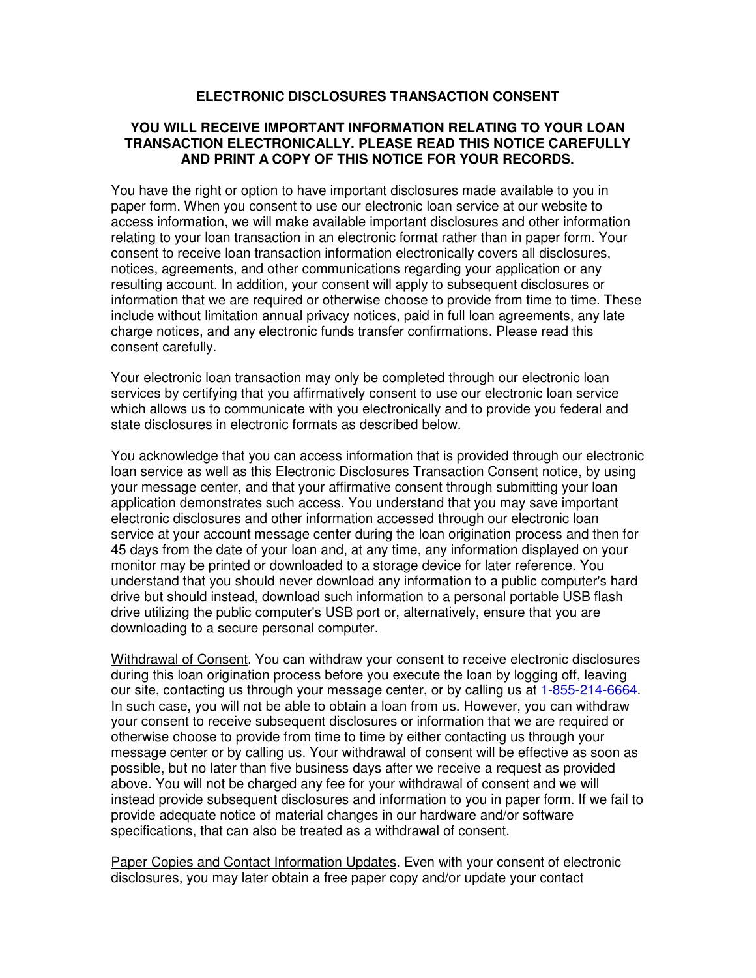## **ELECTRONIC DISCLOSURES TRANSACTION CONSENT**

## **YOU WILL RECEIVE IMPORTANT INFORMATION RELATING TO YOUR LOAN TRANSACTION ELECTRONICALLY. PLEASE READ THIS NOTICE CAREFULLY AND PRINT A COPY OF THIS NOTICE FOR YOUR RECORDS.**

You have the right or option to have important disclosures made available to you in paper form. When you consent to use our electronic loan service at our website to access information, we will make available important disclosures and other information relating to your loan transaction in an electronic format rather than in paper form. Your consent to receive loan transaction information electronically covers all disclosures, notices, agreements, and other communications regarding your application or any resulting account. In addition, your consent will apply to subsequent disclosures or information that we are required or otherwise choose to provide from time to time. These include without limitation annual privacy notices, paid in full loan agreements, any late charge notices, and any electronic funds transfer confirmations. Please read this consent carefully.

Your electronic loan transaction may only be completed through our electronic loan services by certifying that you affirmatively consent to use our electronic loan service which allows us to communicate with you electronically and to provide you federal and state disclosures in electronic formats as described below.

You acknowledge that you can access information that is provided through our electronic loan service as well as this Electronic Disclosures Transaction Consent notice, by using your message center, and that your affirmative consent through submitting your loan application demonstrates such access. You understand that you may save important electronic disclosures and other information accessed through our electronic loan service at your account message center during the loan origination process and then for 45 days from the date of your loan and, at any time, any information displayed on your monitor may be printed or downloaded to a storage device for later reference. You understand that you should never download any information to a public computer's hard drive but should instead, download such information to a personal portable USB flash drive utilizing the public computer's USB port or, alternatively, ensure that you are downloading to a secure personal computer.

Withdrawal of Consent. You can withdraw your consent to receive electronic disclosures during this loan origination process before you execute the loan by logging off, leaving our site, contacting us through your message center, or by calling us at 1-855-214-6664. In such case, you will not be able to obtain a loan from us. However, you can withdraw your consent to receive subsequent disclosures or information that we are required or otherwise choose to provide from time to time by either contacting us through your message center or by calling us. Your withdrawal of consent will be effective as soon as possible, but no later than five business days after we receive a request as provided above. You will not be charged any fee for your withdrawal of consent and we will instead provide subsequent disclosures and information to you in paper form. If we fail to provide adequate notice of material changes in our hardware and/or software specifications, that can also be treated as a withdrawal of consent.

Paper Copies and Contact Information Updates. Even with your consent of electronic disclosures, you may later obtain a free paper copy and/or update your contact